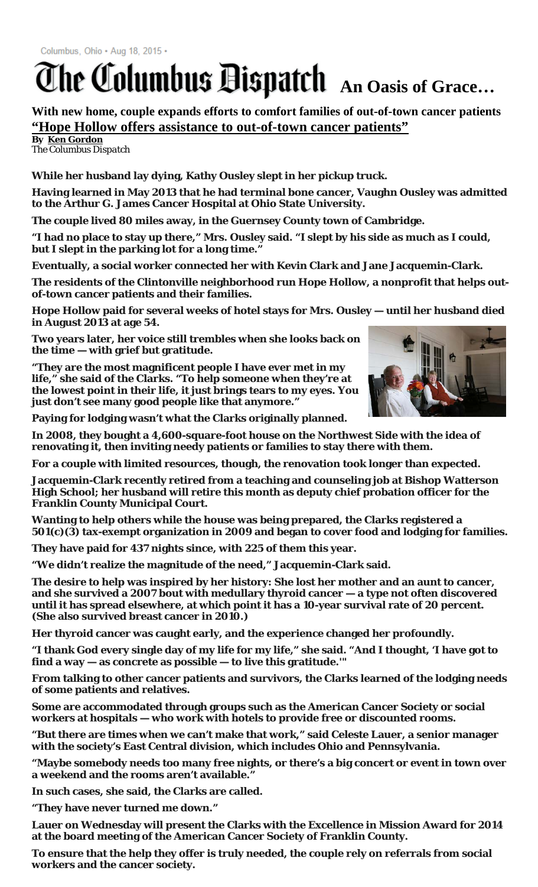## **The Columbus Bispatch** An Oasis of Grace...

**With new home, couple expands efforts to comfort families of out-of-town cancer patients "Hope Hollow offers assistance to out-of-town cancer patients"**

**By [Ken Gordon](mailto:kgordon@dispatch.com)** *The Columbus Dispatch*

**While her husband lay dying, Kathy Ousley slept in her pickup truck.**

**Having learned in May 2013 that he had terminal bone cancer, Vaughn Ousley was admitted to the Arthur G. James Cancer Hospital at Ohio State University.**

**The couple lived 80 miles away, in the Guernsey County town of Cambridge.**

**"I had no place to stay up there," Mrs. Ousley said. "I slept by his side as much as I could, but I slept in the parking lot for a long time."**

**Eventually, a social worker connected her with Kevin Clark and Jane Jacquemin-Clark.**

**The residents of the Clintonville neighborhood run Hope Hollow, a nonprofit that helps outof-town cancer patients and their families.**

**Hope Hollow paid for several weeks of hotel stays for Mrs. Ousley — until her husband died in August 2013 at age 54.**

**Two years later, her voice still trembles when she looks back on the time — with grief but gratitude.**

**"They are the most magnificent people I have ever met in my life," she said of the Clarks. "To help someone when they're at the lowest point in their life, it just brings tears to my eyes. You just don't see many good people like that anymore."**

**Paying for lodging wasn't what the Clarks originally planned.**

**In 2008, they bought a 4,600-square-foot house on the Northwest Side with the idea of renovating it, then inviting needy patients or families to stay there with them.**

**For a couple with limited resources, though, the renovation took longer than expected.**

**Jacquemin-Clark recently retired from a teaching and counseling job at Bishop Watterson High School; her husband will retire this month as deputy chief probation officer for the Franklin County Municipal Court.**

**Wanting to help others while the house was being prepared, the Clarks registered a 501(c)(3) tax-exempt organization in 2009 and began to cover food and lodging for families.**

**They have paid for 437 nights since, with 225 of them this year.**

**"We didn't realize the magnitude of the need," Jacquemin-Clark said.**

**The desire to help was inspired by her history: She lost her mother and an aunt to cancer, and she survived a 2007 bout with medullary thyroid cancer — a type not often discovered until it has spread elsewhere, at which point it has a 10-year survival rate of 20 percent. (She also survived breast cancer in 2010.)**

**Her thyroid cancer was caught early, and the experience changed her profoundly.**

**"I thank God every single day of my life for my life," she said. "And I thought, 'I have got to find a way — as concrete as possible — to live this gratitude.'"**

**From talking to other cancer patients and survivors, the Clarks learned of the lodging needs of some patients and relatives.**

**Some are accommodated through groups such as the American Cancer Society or social workers at hospitals — who work with hotels to provide free or discounted rooms.**

**"But there are times when we can't make that work," said Celeste Lauer, a senior manager with the society's East Central division, which includes Ohio and Pennsylvania.**

**"Maybe somebody needs too many free nights, or there's a big concert or event in town over a weekend and the rooms aren't available."**

**In such cases, she said, the Clarks are called.**

**"They have never turned me down."**

**Lauer on Wednesday will present the Clarks with the Excellence in Mission Award for 2014 at the board meeting of the American Cancer Society of Franklin County.**

**To ensure that the help they offer is truly needed, the couple rely on referrals from social workers and the cancer society.**